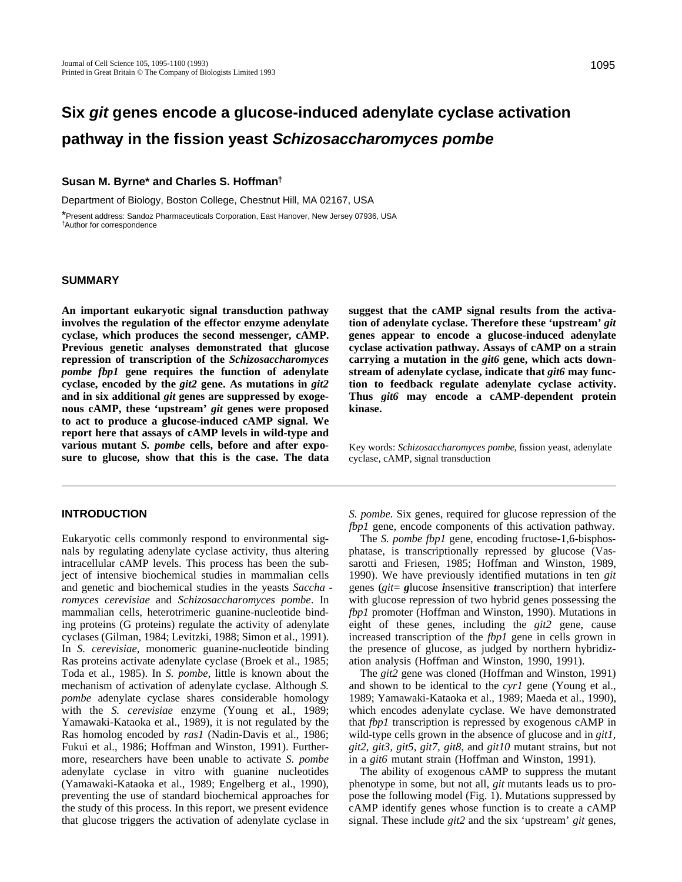# **Six git genes encode a glucose-induced adenylate cyclase activation pathway in the fission yeast Schizosaccharomyces pombe**

## **Susan M. Byrne\* and Charles S. Hoffman†**

Department of Biology, Boston College, Chestnut Hill, MA 02167, USA \*Present address: Sandoz Pharmaceuticals Corporation, East Hanover, New Jersey 07936, USA †Author for correspondence

### **SUMMARY**

**An important eukaryotic signal transduction pathway involves the regulation of the effector enzyme adenylate cyclase, which produces the second messenger, cAMP. Previous genetic analyses demonstrated that glucose repression of transcription of the** *Schizosaccharomyces pombe fbp1* **gene requires the function of adenylate cyclase, encoded by the** *git2* **gene. As mutations in** *git2* **and in six additional** *git* **genes are suppressed by exogenous cAMP, these 'upstream'** *git* **genes were proposed to act to produce a glucose-induced cAMP signal. We report here that assays of cAMP levels in wild-type and various mutant** *S. pombe* **cells, before and after exposure to glucose, show that this is the case. The data**

# **INTRODUCTION**

Eukaryotic cells commonly respond to environmental signals by regulating adenylate cyclase activity, thus altering intracellular cAMP levels. This process has been the subject of intensive biochemical studies in mammalian cells and genetic and biochemical studies in the yeasts *Saccha romyces cerevisiae* and *Schizosaccharomyces pombe*. In mammalian cells, heterotrimeric guanine-nucleotide binding proteins (G proteins) regulate the activity of adenylate cyclases (Gilman, 1984; Levitzki, 1988; Simon et al., 1991). In *S. cerevisiae*, monomeric guanine-nucleotide binding Ras proteins activate adenylate cyclase (Broek et al., 1985; Toda et al., 1985). In *S. pombe*, little is known about the mechanism of activation of adenylate cyclase. Although *S. pombe* adenylate cyclase shares considerable homology with the *S. cerevisiae* enzyme (Young et al., 1989; Yamawaki-Kataoka et al., 1989), it is not regulated by the Ras homolog encoded by *ras1* (Nadin-Davis et al., 1986; Fukui et al., 1986; Hoffman and Winston, 1991). Furthermore, researchers have been unable to activate *S. pombe* adenylate cyclase in vitro with guanine nucleotides (Yamawaki-Kataoka et al., 1989; Engelberg et al., 1990), preventing the use of standard biochemical approaches for the study of this process. In this report, we present evidence that glucose triggers the activation of adenylate cyclase in

**suggest that the cAMP signal results from the activation of adenylate cyclase. Therefore these 'upstream'** *git* **genes appear to encode a glucose-induced adenylate cyclase activation pathway. Assays of cAMP on a strain carrying a mutation in the** *git6* **gene, which acts downstream of adenylate cyclase, indicate that** *git6* **may function to feedback regulate adenylate cyclase activity. Thus** *git6* **may encode a cAMP-dependent protein kinase.**

Key words: *Schizosaccharomyces pombe*, fission yeast, adenylate cyclase, cAMP, signal transduction

*S. pombe.* Six genes, required for glucose repression of the *fbp1* gene, encode components of this activation pathway.

The *S. pombe fbp1* gene, encoding fructose-1,6-bisphosphatase, is transcriptionally repressed by glucose (Vassarotti and Friesen, 1985; Hoffman and Winston, 1989, 1990). We have previously identified mutations in ten *git* genes (*git*= *g*lucose *i*nsensitive *t*ranscription) that interfere with glucose repression of two hybrid genes possessing the *fbp1* promoter (Hoffman and Winston, 1990). Mutations in eight of these genes, including the *git2* gene, cause increased transcription of the *fbp1* gene in cells grown in the presence of glucose, as judged by northern hybridization analysis (Hoffman and Winston, 1990, 1991).

The *git2* gene was cloned (Hoffman and Winston, 1991) and shown to be identical to the *cyr1* gene (Young et al., 1989; Yamawaki-Kataoka et al., 1989; Maeda et al., 1990), which encodes adenylate cyclase. We have demonstrated that *fbp1* transcription is repressed by exogenous cAMP in wild-type cells grown in the absence of glucose and in *git1, git2, git3, git5, git7, git8,* and *git10* mutant strains, but not in a *git6* mutant strain (Hoffman and Winston, 1991).

The ability of exogenous cAMP to suppress the mutant phenotype in some, but not all, *git* mutants leads us to propose the following model (Fig. 1). Mutations suppressed by cAMP identify genes whose function is to create a cAMP signal. These include *git2* and the six 'upstream' *git* genes,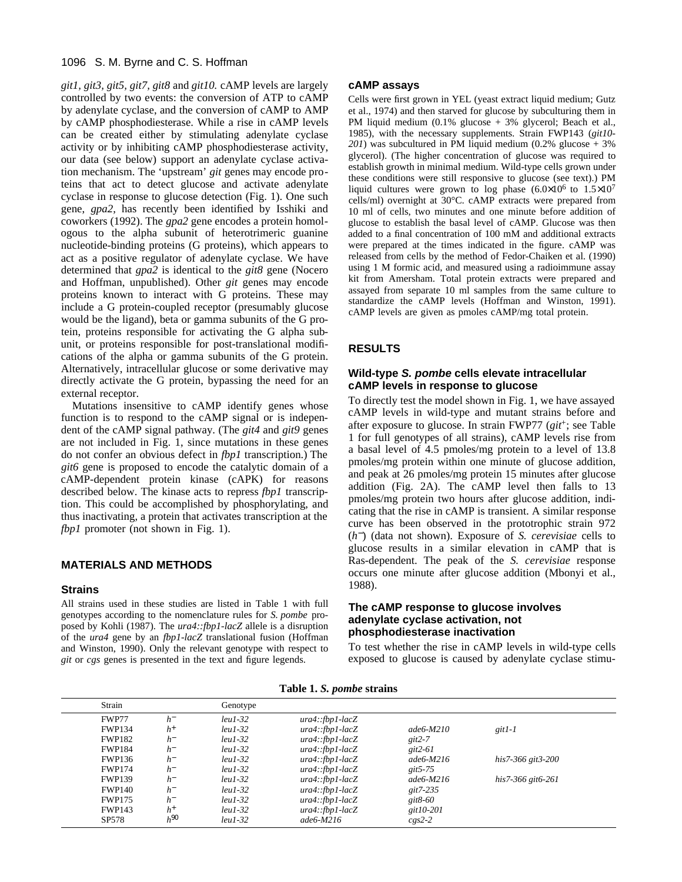## 1096 S. M. Byrne and C. S. Hoffman

*git1, git3, git5, git7, git8* and *git10.* cAMP levels are largely controlled by two events: the conversion of ATP to cAMP by adenylate cyclase, and the conversion of cAMP to AMP by cAMP phosphodiesterase. While a rise in cAMP levels can be created either by stimulating adenylate cyclase activity or by inhibiting cAMP phosphodiesterase activity, our data (see below) support an adenylate cyclase activation mechanism. The 'upstream' *git* genes may encode proteins that act to detect glucose and activate adenylate cyclase in response to glucose detection (Fig. 1). One such gene, *gpa2*, has recently been identified by Isshiki and coworkers (1992). The *gpa2* gene encodes a protein homologous to the alpha subunit of heterotrimeric guanine nucleotide-binding proteins (G proteins), which appears to act as a positive regulator of adenylate cyclase. We have determined that *gpa2* is identical to the *git8* gene (Nocero and Hoffman, unpublished). Other *git* genes may encode proteins known to interact with G proteins. These may include a G protein-coupled receptor (presumably glucose would be the ligand), beta or gamma subunits of the G protein, proteins responsible for activating the G alpha subunit, or proteins responsible for post-translational modifications of the alpha or gamma subunits of the G protein. Alternatively, intracellular glucose or some derivative may directly activate the G protein, bypassing the need for an external receptor.

Mutations insensitive to cAMP identify genes whose function is to respond to the cAMP signal or is independent of the cAMP signal pathway. (The *git4* and *git9* genes are not included in Fig. 1, since mutations in these genes do not confer an obvious defect in *fbp1* transcription.) The *git6* gene is proposed to encode the catalytic domain of a cAMP-dependent protein kinase (cAPK) for reasons described below. The kinase acts to repress *fbp1* transcription. This could be accomplished by phosphorylating, and thus inactivating, a protein that activates transcription at the *fbp1* promoter (not shown in Fig. 1).

# **MATERIALS AND METHODS**

#### **Strains**

All strains used in these studies are listed in Table 1 with full genotypes according to the nomenclature rules for *S. pombe* proposed by Kohli (1987). The *ura4::fbp1-lacZ* allele is a disruption of the *ura4* gene by an *fbp1-lacZ* translational fusion (Hoffman and Winston, 1990). Only the relevant genotype with respect to *git* or *cgs* genes is presented in the text and figure legends.

#### **cAMP assays**

Cells were first grown in YEL (yeast extract liquid medium; Gutz et al., 1974) and then starved for glucose by subculturing them in PM liquid medium (0.1% glucose + 3% glycerol; Beach et al., 1985), with the necessary supplements. Strain FWP143 (*git10- 201*) was subcultured in PM liquid medium (0.2% glucose + 3% glycerol). (The higher concentration of glucose was required to establish growth in minimal medium. Wild-type cells grown under these conditions were still responsive to glucose (see text).) PM liquid cultures were grown to log phase  $(6.0\times10^6$  to  $1.5\times10^7$ cells/ml) overnight at 30°C. cAMP extracts were prepared from 10 ml of cells, two minutes and one minute before addition of glucose to establish the basal level of cAMP. Glucose was then added to a final concentration of 100 mM and additional extracts were prepared at the times indicated in the figure. cAMP was released from cells by the method of Fedor-Chaiken et al. (1990) using 1 M formic acid, and measured using a radioimmune assay kit from Amersham. Total protein extracts were prepared and assayed from separate 10 ml samples from the same culture to standardize the cAMP levels (Hoffman and Winston, 1991). cAMP levels are given as pmoles cAMP/mg total protein.

# **RESULTS**

# **Wild-type S. pombe cells elevate intracellular cAMP levels in response to glucose**

To directly test the model shown in Fig. 1, we have assayed cAMP levels in wild-type and mutant strains before and after exposure to glucose. In strain FWP77 (*git*+; see Table 1 for full genotypes of all strains), cAMP levels rise from a basal level of 4.5 pmoles/mg protein to a level of 13.8 pmoles/mg protein within one minute of glucose addition, and peak at 26 pmoles/mg protein 15 minutes after glucose addition (Fig. 2A). The cAMP level then falls to 13 pmoles/mg protein two hours after glucose addition, indicating that the rise in cAMP is transient. A similar response curve has been observed in the prototrophic strain 972 (*h* <sup>−</sup>) (data not shown). Exposure of *S. cerevisiae* cells to glucose results in a similar elevation in cAMP that is Ras-dependent. The peak of the *S. cerevisiae* response occurs one minute after glucose addition (Mbonyi et al., 1988).

## **The cAMP response to glucose involves adenylate cyclase activation, not phosphodiesterase inactivation**

To test whether the rise in cAMP levels in wild-type cells exposed to glucose is caused by adenylate cyclase stimu-

**Table 1.** *S. pombe* **strains**

| Strain        |                    | Genotype  |                   |             |                        |
|---------------|--------------------|-----------|-------------------|-------------|------------------------|
| FWP77         | $h^-$              | $leu1-32$ | $ura4::fbp1-lacZ$ |             |                        |
| <b>FWP134</b> | $h^+$              | $leul-32$ | $ura4::fbp1-lacZ$ | $ade6-M210$ | $git1-I$               |
| <b>FWP182</b> | $h^-$              | $leul-32$ | $ura4::fbp1-lacZ$ | $git2-7$    |                        |
| <b>FWP184</b> | $h^-$              | $leul-32$ | $ura4::fbp1-lacZ$ | git2-61     |                        |
| <b>FWP136</b> | $h^-$              | $leul-32$ | $ura4::fbp1-lacZ$ | $ade6-M216$ | his7-366 git3-200      |
| <b>FWP174</b> | $h^-$              | $leul-32$ | $ura4::fbp1-lacZ$ | git5-75     |                        |
| <b>FWP139</b> | $h^-$              | $leul-32$ | $ura4::fbp1-lacZ$ | $ade6-M216$ | $his7-366$ git $6-261$ |
| <b>FWP140</b> | $h^-$              | $leul-32$ | $ura4::fbp1-lacZ$ | $git7-235$  |                        |
| <b>FWP175</b> | $h^-$              | $leu1-32$ | $ura4::fbp1-lacZ$ | git 8-60    |                        |
| <b>FWP143</b> | $h^+$              | $leul-32$ | $ura4::fbp1-lacZ$ | $git10-201$ |                        |
| SP578         | $h^{\mathcal{QO}}$ | $leul-32$ | $ade6-M216$       | $cgs2-2$    |                        |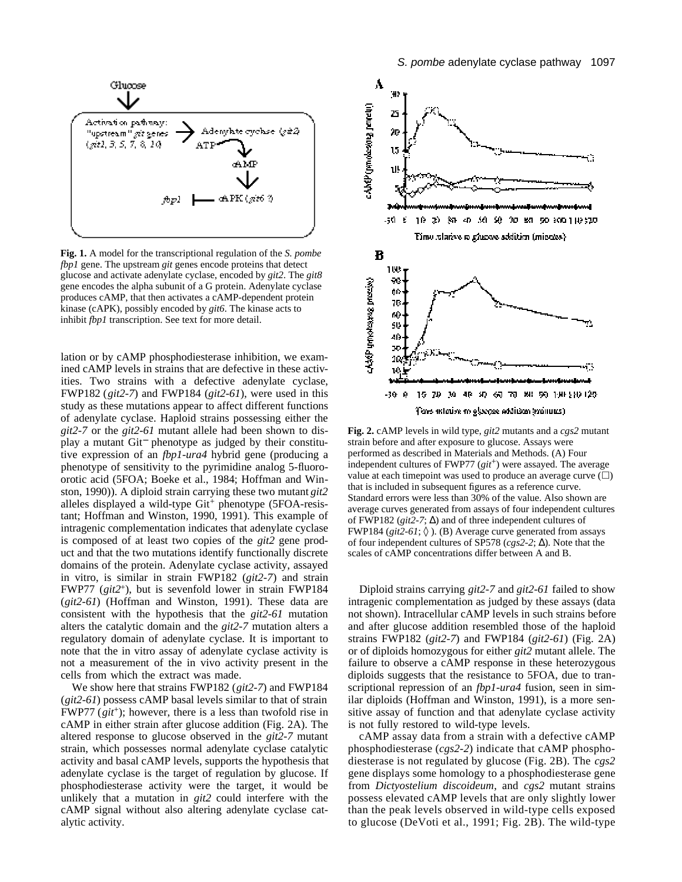

**Fig. 1.** A model for the transcriptional regulation of the *S. pombe fbp1* gene. The upstream *git* genes encode proteins that detect glucose and activate adenylate cyclase, encoded by *git2*. The *git8* gene encodes the alpha subunit of a G protein. Adenylate cyclase produces cAMP, that then activates a cAMP-dependent protein kinase (cAPK), possibly encoded by *git6*. The kinase acts to inhibit *fbp1* transcription. See text for more detail.

lation or by cAMP phosphodiesterase inhibition, we examined cAMP levels in strains that are defective in these activities. Two strains with a defective adenylate cyclase, FWP182 (*git2-7*) and FWP184 (*git2-61*), were used in this study as these mutations appear to affect different functions of adenylate cyclase. Haploid strains possessing either the *git2-7* or the *git2-61* mutant allele had been shown to display a mutant Git<sup>−</sup> phenotype as judged by their constitutive expression of an *fbp1-ura4* hybrid gene (producing a phenotype of sensitivity to the pyrimidine analog 5-fluoroorotic acid (5FOA; Boeke et al., 1984; Hoffman and Winston, 1990)). A diploid strain carrying these two mutant *git2* alleles displayed a wild-type  $Git^+$  phenotype (5FOA-resistant; Hoffman and Winston, 1990, 1991). This example of intragenic complementation indicates that adenylate cyclase is composed of at least two copies of the *git2* gene product and that the two mutations identify functionally discrete domains of the protein. Adenylate cyclase activity, assayed in vitro, is similar in strain FWP182 (*git2-7*) and strain FWP77 (*git2*+), but is sevenfold lower in strain FWP184 (*git2-61*) (Hoffman and Winston, 1991). These data are consistent with the hypothesis that the *git2-61* mutation alters the catalytic domain and the *git2-7* mutation alters a regulatory domain of adenylate cyclase. It is important to note that the in vitro assay of adenylate cyclase activity is not a measurement of the in vivo activity present in the cells from which the extract was made.

We show here that strains FWP182 (*git2-7*) and FWP184 (*git2-61*) possess cAMP basal levels similar to that of strain FWP77 (*git*<sup>+</sup>); however, there is a less than twofold rise in cAMP in either strain after glucose addition (Fig. 2A). The altered response to glucose observed in the *git2-7* mutant strain, which possesses normal adenylate cyclase catalytic activity and basal cAMP levels, supports the hypothesis that adenylate cyclase is the target of regulation by glucose. If phosphodiesterase activity were the target, it would be unlikely that a mutation in *git2* could interfere with the cAMP signal without also altering adenylate cyclase catalytic activity.



**Fig. 2.** cAMP levels in wild type, *git2* mutants and a *cgs2* mutant strain before and after exposure to glucose. Assays were performed as described in Materials and Methods. (A) Four independent cultures of FWP77 (*git*<sup>+</sup>) were assayed. The average value at each timepoint was used to produce an average curve  $(\Box)$ that is included in subsequent figures as a reference curve. Standard errors were less than 30% of the value. Also shown are average curves generated from assays of four independent cultures of FWP182 (*git2-7*; ) and of three independent cultures of FWP184 (*git2-61*; ). (B) Average curve generated from assays of four independent cultures of SP578 (*cgs2-2*; ). Note that the scales of cAMP concentrations differ between A and B.

Diploid strains carrying *git2-7* and *git2-61* failed to show intragenic complementation as judged by these assays (data not shown). Intracellular cAMP levels in such strains before and after glucose addition resembled those of the haploid strains FWP182 (*git2-7*) and FWP184 (*git2-61*) (Fig. 2A) or of diploids homozygous for either *git2* mutant allele. The failure to observe a cAMP response in these heterozygous diploids suggests that the resistance to 5FOA, due to transcriptional repression of an *fbp1-ura4* fusion, seen in similar diploids (Hoffman and Winston, 1991), is a more sensitive assay of function and that adenylate cyclase activity is not fully restored to wild-type levels.

cAMP assay data from a strain with a defective cAMP phosphodiesterase (*cgs*2-2) indicate that cAMP phosphodiesterase is not regulated by glucose (Fig. 2B). The *cgs2* gene displays some homology to a phosphodiesterase gene from *Dictyostelium discoideum*, and *cgs2* mutant strains possess elevated cAMP levels that are only slightly lower than the peak levels observed in wild-type cells exposed to glucose (DeVoti et al., 1991; Fig. 2B). The wild-type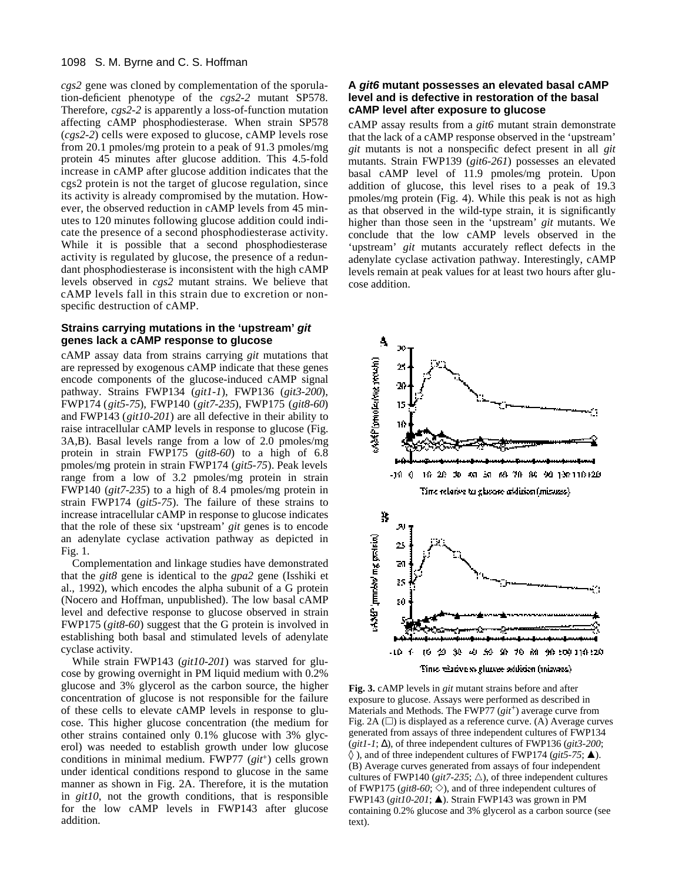*cgs2* gene was cloned by complementation of the sporulation-deficient phenotype of the *cgs2-2* mutant SP578. Therefore, *cgs*2-2 is apparently a loss-of-function mutation affecting cAMP phosphodiesterase. When strain SP578 (*cgs*2-2) cells were exposed to glucose, cAMP levels rose from 20.1 pmoles/mg protein to a peak of 91.3 pmoles/mg protein 45 minutes after glucose addition. This 4.5-fold increase in cAMP after glucose addition indicates that the cgs2 protein is not the target of glucose regulation, since its activity is already compromised by the mutation. However, the observed reduction in cAMP levels from 45 minutes to 120 minutes following glucose addition could indicate the presence of a second phosphodiesterase activity. While it is possible that a second phosphodiesterase activity is regulated by glucose, the presence of a redundant phosphodiesterase is inconsistent with the high cAMP levels observed in *cgs2* mutant strains. We believe that cAMP levels fall in this strain due to excretion or nonspecific destruction of cAMP.

### **Strains carrying mutations in the 'upstream' git genes lack a cAMP response to glucose**

cAMP assay data from strains carrying *git* mutations that are repressed by exogenous cAMP indicate that these genes encode components of the glucose-induced cAMP signal pathway. Strains FWP134 (*git1-1*), FWP136 (*git3-200*), FWP174 (*git5-75*), FWP140 (*git7-235*), FWP175 (*git8-60*) and FWP143 (*git10-201*) are all defective in their ability to raise intracellular cAMP levels in response to glucose (Fig. 3A,B). Basal levels range from a low of 2.0 pmoles/mg protein in strain FWP175 (*git8-60*) to a high of 6.8 pmoles/mg protein in strain FWP174 (*git5-75*). Peak levels range from a low of 3.2 pmoles/mg protein in strain FWP140 (*git7-235*) to a high of 8.4 pmoles/mg protein in strain FWP174 (*git5-75*). The failure of these strains to increase intracellular cAMP in response to glucose indicates that the role of these six 'upstream' *git* genes is to encode an adenylate cyclase activation pathway as depicted in Fig. 1.

Complementation and linkage studies have demonstrated that the *git8* gene is identical to the *gpa2* gene (Isshiki et al., 1992), which encodes the alpha subunit of a G protein (Nocero and Hoffman, unpublished). The low basal cAMP level and defective response to glucose observed in strain FWP175 (*git8-60*) suggest that the G protein is involved in establishing both basal and stimulated levels of adenylate cyclase activity.

While strain FWP143 (*git10-201*) was starved for glucose by growing overnight in PM liquid medium with 0.2% glucose and 3% glycerol as the carbon source, the higher concentration of glucose is not responsible for the failure of these cells to elevate cAMP levels in response to glucose. This higher glucose concentration (the medium for other strains contained only 0.1% glucose with 3% glycerol) was needed to establish growth under low glucose conditions in minimal medium. FWP77 (*git*+) cells grown under identical conditions respond to glucose in the same manner as shown in Fig. 2A. Therefore, it is the mutation in *git10*, not the growth conditions, that is responsible for the low cAMP levels in FWP143 after glucose addition.

## **A git6 mutant possesses an elevated basal cAMP level and is defective in restoration of the basal cAMP level after exposure to glucose**

cAMP assay results from a *git6* mutant strain demonstrate that the lack of a cAMP response observed in the 'upstream' *git* mutants is not a nonspecific defect present in all *git* mutants. Strain FWP139 (*git6-261*) possesses an elevated basal cAMP level of 11.9 pmoles/mg protein. Upon addition of glucose, this level rises to a peak of 19.3 pmoles/mg protein (Fig. 4). While this peak is not as high as that observed in the wild-type strain, it is significantly higher than those seen in the 'upstream' *git* mutants. We conclude that the low cAMP levels observed in the 'upstream' *git* mutants accurately reflect defects in the adenylate cyclase activation pathway. Interestingly, cAMP levels remain at peak values for at least two hours after glucose addition.



**Fig. 3.** cAMP levels in *git* mutant strains before and after exposure to glucose. Assays were performed as described in Materials and Methods. The FWP77 (*git*+) average curve from Fig. 2A  $(\square)$  is displayed as a reference curve. (A) Average curves generated from assays of three independent cultures of FWP134 (*git1-1*; ), of three independent cultures of FWP136 (*git3-200*;

), and of three independent cultures of FWP174 ( $git5-75$ ;  $\triangle$ ). (B) Average curves generated from assays of four independent cultures of FWP140 ( $git7-235$ ;  $\triangle$ ), of three independent cultures of FWP175 ( $git8-60$ ;  $\diamond$ ), and of three independent cultures of FWP143 (*git10-201*; m). Strain FWP143 was grown in PM containing 0.2% glucose and 3% glycerol as a carbon source (see text).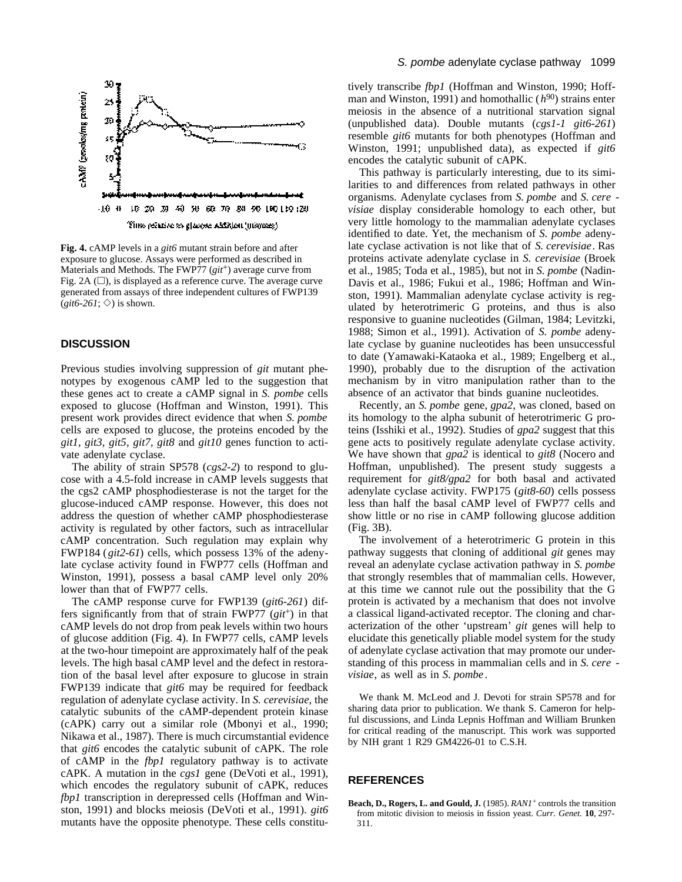

**Fig. 4.** cAMP levels in a *git6* mutant strain before and after exposure to glucose. Assays were performed as described in Materials and Methods. The FWP77 (*git*<sup>+</sup>) average curve from Fig. 2A  $(\Box)$ , is displayed as a reference curve. The average curve generated from assays of three independent cultures of FWP139  $(git6-261; \diamondsuit)$  is shown.

# **DISCUSSION**

Previous studies involving suppression of *git* mutant phenotypes by exogenous cAMP led to the suggestion that these genes act to create a cAMP signal in *S. pombe* cells exposed to glucose (Hoffman and Winston, 1991). This present work provides direct evidence that when *S. pombe* cells are exposed to glucose, the proteins encoded by the *git1*, *git3*, *git5*, *git7*, *git8* and *git10* genes function to activate adenylate cyclase.

The ability of strain SP578 (*cgs2-2*) to respond to glucose with a 4.5-fold increase in cAMP levels suggests that the cgs2 cAMP phosphodiesterase is not the target for the glucose-induced cAMP response. However, this does not address the question of whether cAMP phosphodiesterase activity is regulated by other factors, such as intracellular cAMP concentration. Such regulation may explain why FWP184 (*git2-61*) cells, which possess 13% of the adenylate cyclase activity found in FWP77 cells (Hoffman and Winston, 1991), possess a basal cAMP level only 20% lower than that of FWP77 cells.

The cAMP response curve for FWP139 (*git6-261*) differs significantly from that of strain FWP77 (*git*+) in that cAMP levels do not drop from peak levels within two hours of glucose addition (Fig. 4). In FWP77 cells, cAMP levels at the two-hour timepoint are approximately half of the peak levels. The high basal cAMP level and the defect in restoration of the basal level after exposure to glucose in strain FWP139 indicate that *git6* may be required for feedback regulation of adenylate cyclase activity. In *S. cerevisiae*, the catalytic subunits of the cAMP-dependent protein kinase (cAPK) carry out a similar role (Mbonyi et al., 1990; Nikawa et al., 1987). There is much circumstantial evidence that *git6* encodes the catalytic subunit of cAPK. The role of cAMP in the *fbp1* regulatory pathway is to activate cAPK. A mutation in the *cgs1* gene (DeVoti et al., 1991), which encodes the regulatory subunit of cAPK, reduces *fbp1* transcription in derepressed cells (Hoffman and Winston, 1991) and blocks meiosis (DeVoti et al., 1991). *git6* mutants have the opposite phenotype. These cells constitutively transcribe *fbp1* (Hoffman and Winston, 1990; Hoffman and Winston, 1991) and homothallic (*h* <sup>90</sup>) strains enter meiosis in the absence of a nutritional starvation signal (unpublished data). Double mutants (*cgs1-1 git6-261*) resemble *git6* mutants for both phenotypes (Hoffman and Winston, 1991; unpublished data), as expected if *git6* encodes the catalytic subunit of cAPK.

This pathway is particularly interesting, due to its similarities to and differences from related pathways in other organisms. Adenylate cyclases from *S. pombe* and *S. cere visiae* display considerable homology to each other, but very little homology to the mammalian adenylate cyclases identified to date. Yet, the mechanism of *S. pombe* adenylate cyclase activation is not like that of *S. cerevisiae*. Ras proteins activate adenylate cyclase in *S. cerevisiae* (Broek et al., 1985; Toda et al., 1985), but not in *S. pombe* (Nadin-Davis et al., 1986; Fukui et al., 1986; Hoffman and Winston, 1991). Mammalian adenylate cyclase activity is regulated by heterotrimeric G proteins, and thus is also responsive to guanine nucleotides (Gilman, 1984; Levitzki, 1988; Simon et al., 1991). Activation of *S. pombe* adenylate cyclase by guanine nucleotides has been unsuccessful to date (Yamawaki-Kataoka et al., 1989; Engelberg et al., 1990), probably due to the disruption of the activation mechanism by in vitro manipulation rather than to the absence of an activator that binds guanine nucleotides.

Recently, an *S. pombe* gene, *gpa2*, was cloned, based on its homology to the alpha subunit of heterotrimeric G proteins (Isshiki et al., 1992). Studies of *gpa2* suggest that this gene acts to positively regulate adenylate cyclase activity. We have shown that *gpa2* is identical to *git8* (Nocero and Hoffman, unpublished). The present study suggests a requirement for *git8/gpa2* for both basal and activated adenylate cyclase activity. FWP175 (*git8-60*) cells possess less than half the basal cAMP level of FWP77 cells and show little or no rise in cAMP following glucose addition (Fig. 3B).

The involvement of a heterotrimeric G protein in this pathway suggests that cloning of additional *git* genes may reveal an adenylate cyclase activation pathway in *S. pombe* that strongly resembles that of mammalian cells. However, at this time we cannot rule out the possibility that the G protein is activated by a mechanism that does not involve a classical ligand-activated receptor. The cloning and characterization of the other 'upstream' *git* genes will help to elucidate this genetically pliable model system for the study of adenylate cyclase activation that may promote our understanding of this process in mammalian cells and in *S. cere visiae*, as well as in *S. pombe* .

We thank M. McLeod and J. Devoti for strain SP578 and for sharing data prior to publication. We thank S. Cameron for helpful discussions, and Linda Lepnis Hoffman and William Brunken for critical reading of the manuscript. This work was supported by NIH grant 1 R29 GM4226-01 to C.S.H.

## **REFERENCES**

**Beach, D., Rogers, L. and Gould, J.** (1985). *RAN1*<sup>+</sup> controls the transition from mitotic division to meiosis in fission yeast. *Curr. Genet.* **10**, 297- 311.